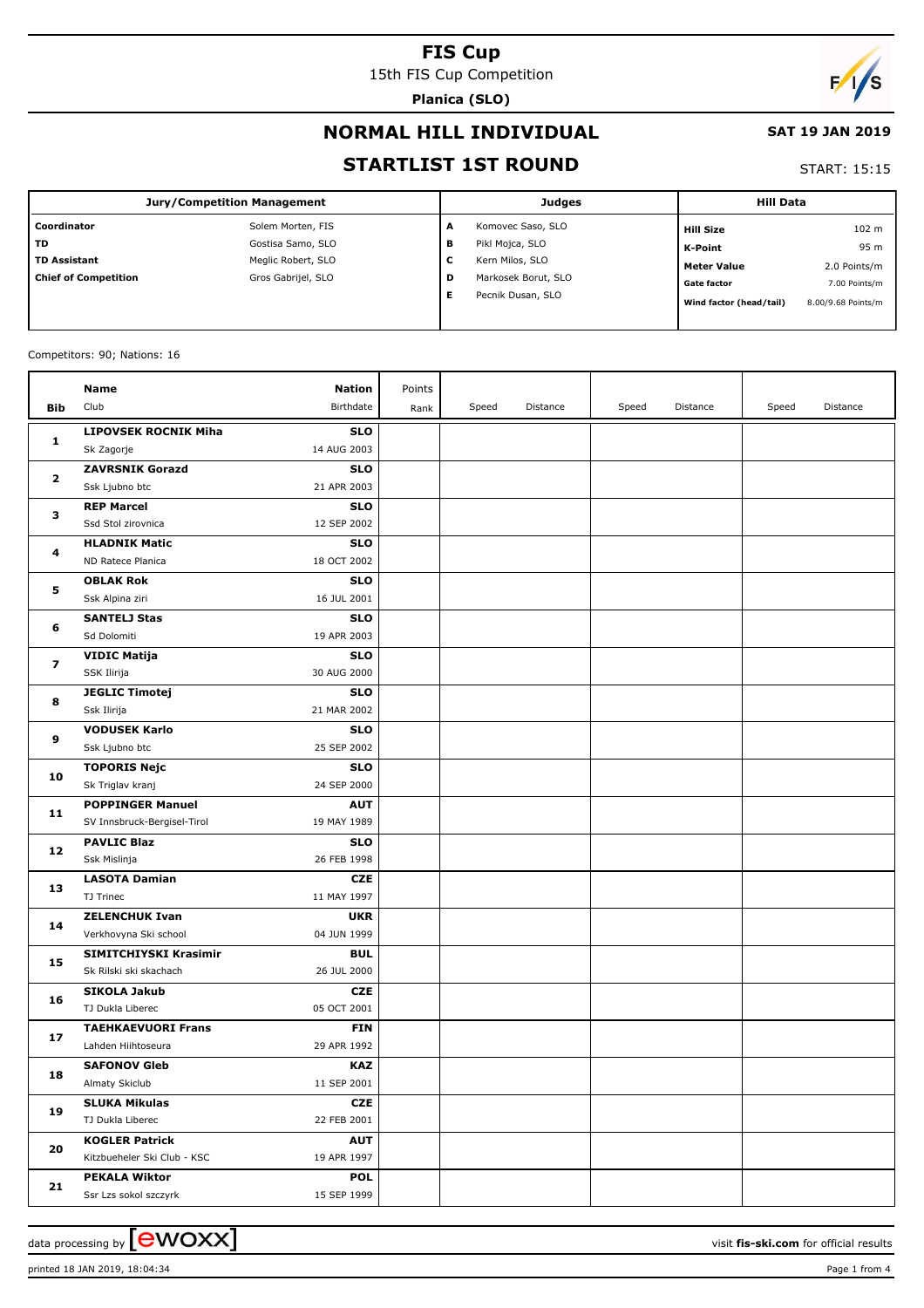15th FIS Cup Competition

**Planica (SLO)**



#### **SAT 19 JAN 2019**

# **NORMAL HILL INDIVIDUAL STARTLIST 1ST ROUND**

#### START: 15:15

| <b>Jury/Competition Management</b> |                    |   | <b>Judges</b>       | <b>Hill Data</b>        |                    |  |
|------------------------------------|--------------------|---|---------------------|-------------------------|--------------------|--|
| Coordinator                        | Solem Morten, FIS  | A | Komovec Saso, SLO   | <b>Hill Size</b>        | 102 m              |  |
| <b>TD</b>                          | Gostisa Samo, SLO  | в | Pikl Mojca, SLO     | K-Point                 | 95 m               |  |
| <b>TD Assistant</b>                | Meglic Robert, SLO | с | Kern Milos, SLO     | <b>Meter Value</b>      | 2.0 Points/m       |  |
| <b>Chief of Competition</b>        | Gros Gabrijel, SLO | D | Markosek Borut, SLO | <b>Gate factor</b>      | 7.00 Points/m      |  |
|                                    |                    | Е | Pecnik Dusan, SLO   | Wind factor (head/tail) | 8.00/9.68 Points/m |  |

#### Competitors: 90; Nations: 16

|     | Name                                            | <b>Nation</b>             | Points |       |          |       |          |       |          |
|-----|-------------------------------------------------|---------------------------|--------|-------|----------|-------|----------|-------|----------|
| Bib | Club                                            | Birthdate                 | Rank   | Speed | Distance | Speed | Distance | Speed | Distance |
|     | <b>LIPOVSEK ROCNIK Miha</b>                     | <b>SLO</b>                |        |       |          |       |          |       |          |
| 1   | Sk Zagorje                                      | 14 AUG 2003               |        |       |          |       |          |       |          |
|     | <b>ZAVRSNIK Gorazd</b>                          | <b>SLO</b>                |        |       |          |       |          |       |          |
| 2   | Ssk Ljubno btc                                  | 21 APR 2003               |        |       |          |       |          |       |          |
| з   | <b>REP Marcel</b>                               | <b>SLO</b>                |        |       |          |       |          |       |          |
|     | Ssd Stol zirovnica                              | 12 SEP 2002               |        |       |          |       |          |       |          |
| 4   | <b>HLADNIK Matic</b>                            | <b>SLO</b>                |        |       |          |       |          |       |          |
|     | ND Ratece Planica                               | 18 OCT 2002               |        |       |          |       |          |       |          |
|     | <b>OBLAK Rok</b>                                | <b>SLO</b>                |        |       |          |       |          |       |          |
| 5   | Ssk Alpina ziri                                 | 16 JUL 2001               |        |       |          |       |          |       |          |
|     | <b>SANTELJ Stas</b>                             | <b>SLO</b>                |        |       |          |       |          |       |          |
| 6   | Sd Dolomiti                                     | 19 APR 2003               |        |       |          |       |          |       |          |
|     | <b>VIDIC Matija</b>                             | <b>SLO</b>                |        |       |          |       |          |       |          |
| 7   | SSK Ilirija                                     | 30 AUG 2000               |        |       |          |       |          |       |          |
| 8   | <b>JEGLIC Timotej</b>                           | <b>SLO</b>                |        |       |          |       |          |       |          |
|     | Ssk Ilirija                                     | 21 MAR 2002               |        |       |          |       |          |       |          |
| 9   | <b>VODUSEK Karlo</b>                            | <b>SLO</b>                |        |       |          |       |          |       |          |
|     | Ssk Ljubno btc                                  | 25 SEP 2002               |        |       |          |       |          |       |          |
| 10  | <b>TOPORIS Nejc</b>                             | <b>SLO</b>                |        |       |          |       |          |       |          |
|     | Sk Triglav kranj                                | 24 SEP 2000               |        |       |          |       |          |       |          |
| 11  | <b>POPPINGER Manuel</b>                         | <b>AUT</b>                |        |       |          |       |          |       |          |
|     | SV Innsbruck-Bergisel-Tirol                     | 19 MAY 1989               |        |       |          |       |          |       |          |
| 12  | <b>PAVLIC Blaz</b>                              | <b>SLO</b>                |        |       |          |       |          |       |          |
|     | Ssk Mislinja                                    | 26 FEB 1998               |        |       |          |       |          |       |          |
| 13  | <b>LASOTA Damian</b>                            | <b>CZE</b>                |        |       |          |       |          |       |          |
|     | TJ Trinec                                       | 11 MAY 1997               |        |       |          |       |          |       |          |
| 14  | <b>ZELENCHUK Ivan</b>                           | <b>UKR</b>                |        |       |          |       |          |       |          |
|     | Verkhovyna Ski school                           | 04 JUN 1999               |        |       |          |       |          |       |          |
| 15  | SIMITCHIYSKI Krasimir<br>Sk Rilski ski skachach | <b>BUL</b><br>26 JUL 2000 |        |       |          |       |          |       |          |
|     | <b>SIKOLA Jakub</b>                             | <b>CZE</b>                |        |       |          |       |          |       |          |
| 16  | TJ Dukla Liberec                                | 05 OCT 2001               |        |       |          |       |          |       |          |
|     | <b>TAEHKAEVUORI Frans</b>                       | <b>FIN</b>                |        |       |          |       |          |       |          |
| 17  | Lahden Hiihtoseura                              | 29 APR 1992               |        |       |          |       |          |       |          |
|     | <b>SAFONOV Gleb</b>                             | <b>KAZ</b>                |        |       |          |       |          |       |          |
| 18  | Almaty Skiclub                                  | 11 SEP 2001               |        |       |          |       |          |       |          |
|     | <b>SLUKA Mikulas</b>                            | <b>CZE</b>                |        |       |          |       |          |       |          |
| 19  | TJ Dukla Liberec                                | 22 FEB 2001               |        |       |          |       |          |       |          |
|     | <b>KOGLER Patrick</b>                           | <b>AUT</b>                |        |       |          |       |          |       |          |
| 20  | Kitzbueheler Ski Club - KSC                     | 19 APR 1997               |        |       |          |       |          |       |          |
|     | <b>PEKALA Wiktor</b>                            | <b>POL</b>                |        |       |          |       |          |       |          |
| 21  | Ssr Lzs sokol szczyrk                           | 15 SEP 1999               |        |       |          |       |          |       |          |

printed 18 JAN 2019, 18:04:34 Page 1 from 4

data processing by **CWOXX**  $\blacksquare$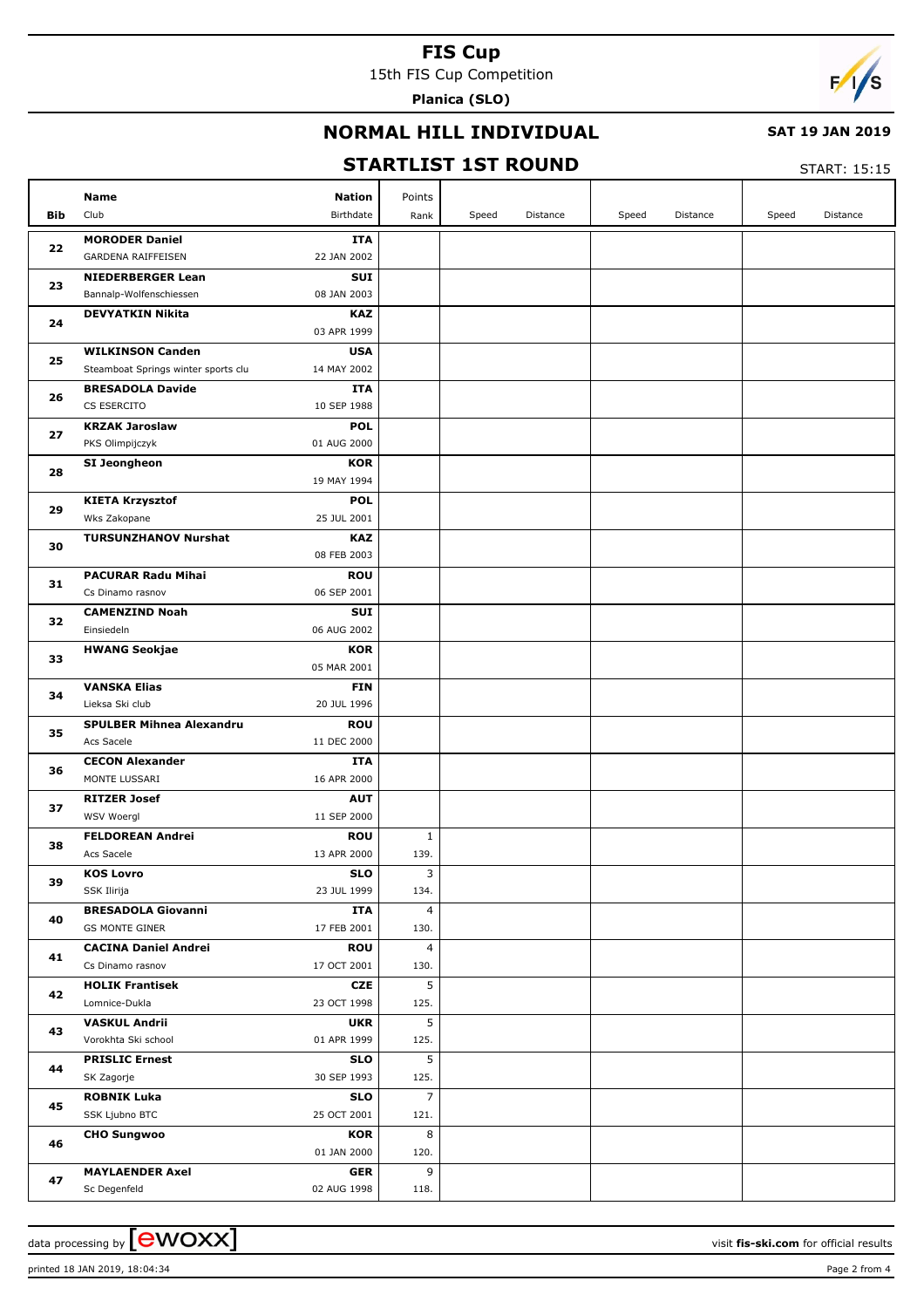15th FIS Cup Competition

**Planica (SLO)**



## **NORMAL HILL INDIVIDUAL**

### **SAT 19 JAN 2019**

## **STARTLIST 1ST ROUND**

 $STAPT: 15:15$ 

|     |                                                    |                |       |          |       |          |       | JIANI. 1J.1J |
|-----|----------------------------------------------------|----------------|-------|----------|-------|----------|-------|--------------|
| Bib | Name<br>Nation<br>Club<br>Birthdate                | Points<br>Rank | Speed | Distance | Speed | Distance | Speed | Distance     |
|     | <b>MORODER Daniel</b><br>ITA                       |                |       |          |       |          |       |              |
| 22  | <b>GARDENA RAIFFEISEN</b>                          |                |       |          |       |          |       |              |
|     | 22 JAN 2002                                        |                |       |          |       |          |       |              |
| 23  | SUI<br><b>NIEDERBERGER Lean</b>                    |                |       |          |       |          |       |              |
|     | Bannalp-Wolfenschiessen<br>08 JAN 2003             |                |       |          |       |          |       |              |
| 24  | <b>DEVYATKIN Nikita</b><br><b>KAZ</b>              |                |       |          |       |          |       |              |
|     | 03 APR 1999                                        |                |       |          |       |          |       |              |
|     | <b>WILKINSON Canden</b><br><b>USA</b>              |                |       |          |       |          |       |              |
| 25  | Steamboat Springs winter sports clu<br>14 MAY 2002 |                |       |          |       |          |       |              |
|     | <b>BRESADOLA Davide</b><br><b>ITA</b>              |                |       |          |       |          |       |              |
| 26  | CS ESERCITO<br>10 SEP 1988                         |                |       |          |       |          |       |              |
|     | <b>KRZAK Jaroslaw</b><br><b>POL</b>                |                |       |          |       |          |       |              |
| 27  | PKS Olimpijczyk<br>01 AUG 2000                     |                |       |          |       |          |       |              |
|     |                                                    |                |       |          |       |          |       |              |
| 28  | SI Jeongheon<br><b>KOR</b>                         |                |       |          |       |          |       |              |
|     | 19 MAY 1994                                        |                |       |          |       |          |       |              |
| 29  | <b>KIETA Krzysztof</b><br><b>POL</b>               |                |       |          |       |          |       |              |
|     | Wks Zakopane<br>25 JUL 2001                        |                |       |          |       |          |       |              |
| 30  | <b>TURSUNZHANOV Nurshat</b><br><b>KAZ</b>          |                |       |          |       |          |       |              |
|     | 08 FEB 2003                                        |                |       |          |       |          |       |              |
|     | <b>PACURAR Radu Mihai</b><br><b>ROU</b>            |                |       |          |       |          |       |              |
| 31  | Cs Dinamo rasnov<br>06 SEP 2001                    |                |       |          |       |          |       |              |
|     | <b>CAMENZIND Noah</b><br><b>SUI</b>                |                |       |          |       |          |       |              |
| 32  | Einsiedeln<br>06 AUG 2002                          |                |       |          |       |          |       |              |
|     | <b>HWANG Seokjae</b><br><b>KOR</b>                 |                |       |          |       |          |       |              |
| 33  | 05 MAR 2001                                        |                |       |          |       |          |       |              |
|     |                                                    |                |       |          |       |          |       |              |
| 34  | <b>VANSKA Elias</b><br><b>FIN</b>                  |                |       |          |       |          |       |              |
|     | Lieksa Ski club<br>20 JUL 1996                     |                |       |          |       |          |       |              |
| 35  | <b>SPULBER Mihnea Alexandru</b><br><b>ROU</b>      |                |       |          |       |          |       |              |
|     | Acs Sacele<br>11 DEC 2000                          |                |       |          |       |          |       |              |
| 36  | <b>CECON Alexander</b><br>ITA                      |                |       |          |       |          |       |              |
|     | MONTE LUSSARI<br>16 APR 2000                       |                |       |          |       |          |       |              |
|     | <b>RITZER Josef</b><br><b>AUT</b>                  |                |       |          |       |          |       |              |
| 37  | WSV Woergl<br>11 SEP 2000                          |                |       |          |       |          |       |              |
|     | <b>FELDOREAN Andrei</b><br><b>ROU</b>              | 1              |       |          |       |          |       |              |
| 38  | Acs Sacele<br>13 APR 2000                          | 139.           |       |          |       |          |       |              |
|     | <b>KOS Lovro</b><br>SLO                            | 3              |       |          |       |          |       |              |
| 39  | SSK Ilirija<br>23 JUL 1999                         | 134.           |       |          |       |          |       |              |
|     | <b>BRESADOLA Giovanni</b><br>ITA                   | $\overline{4}$ |       |          |       |          |       |              |
| 40  | GS MONTE GINER<br>17 FEB 2001                      | 130.           |       |          |       |          |       |              |
|     |                                                    |                |       |          |       |          |       |              |
| 41  | <b>CACINA Daniel Andrei</b><br><b>ROU</b>          | $\overline{4}$ |       |          |       |          |       |              |
|     | Cs Dinamo rasnov<br>17 OCT 2001                    | 130.           |       |          |       |          |       |              |
| 42  | <b>HOLIK Frantisek</b><br><b>CZE</b>               | 5              |       |          |       |          |       |              |
|     | Lomnice-Dukla<br>23 OCT 1998                       | 125.           |       |          |       |          |       |              |
| 43  | <b>VASKUL Andrii</b><br><b>UKR</b>                 | 5              |       |          |       |          |       |              |
|     | Vorokhta Ski school<br>01 APR 1999                 | 125.           |       |          |       |          |       |              |
|     | <b>PRISLIC Ernest</b><br><b>SLO</b>                | 5              |       |          |       |          |       |              |
| 44  | 30 SEP 1993<br>SK Zagorje                          | 125.           |       |          |       |          |       |              |
|     | <b>ROBNIK Luka</b><br><b>SLO</b>                   | $\overline{7}$ |       |          |       |          |       |              |
| 45  | SSK Ljubno BTC<br>25 OCT 2001                      | 121.           |       |          |       |          |       |              |
|     | <b>CHO Sungwoo</b><br><b>KOR</b>                   | 8              |       |          |       |          |       |              |
| 46  | 01 JAN 2000                                        | 120.           |       |          |       |          |       |              |
|     |                                                    |                |       |          |       |          |       |              |
| 47  | <b>MAYLAENDER Axel</b><br>GER                      | 9              |       |          |       |          |       |              |
|     | Sc Degenfeld<br>02 AUG 1998                        | 118.           |       |          |       |          |       |              |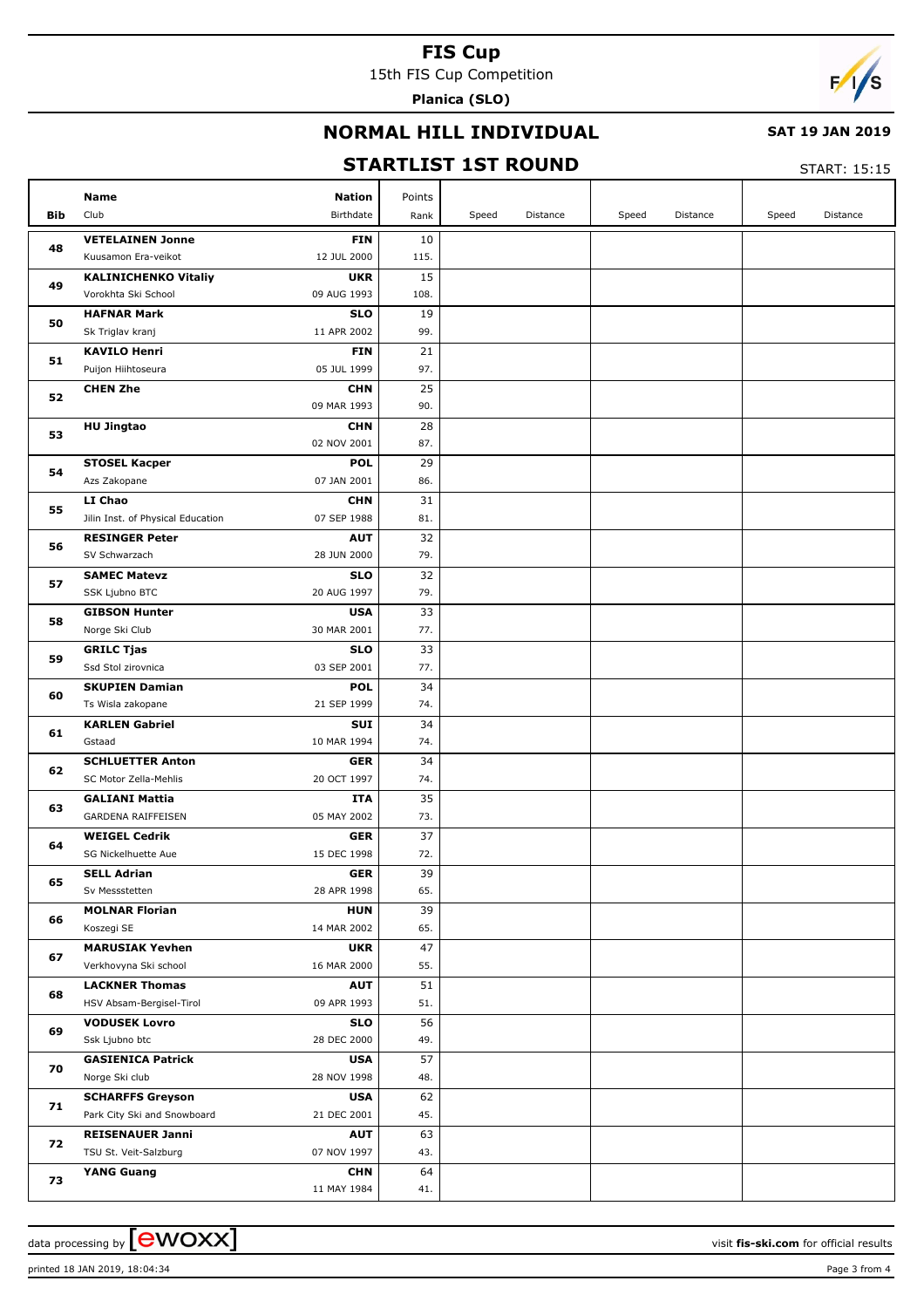15th FIS Cup Competition

**Planica (SLO)**



## **NORMAL HILL INDIVIDUAL**

### **SAT 19 JAN 2019**

## **STARTLIST 1ST ROUND**

START: 15:15

|     | <b>Name</b><br><b>Nation</b>                                                        | Points          |       |          |       |          |       |          |
|-----|-------------------------------------------------------------------------------------|-----------------|-------|----------|-------|----------|-------|----------|
| Bib | Club<br>Birthdate                                                                   | Rank            | Speed | Distance | Speed | Distance | Speed | Distance |
|     | <b>VETELAINEN Jonne</b><br><b>FIN</b>                                               | 10              |       |          |       |          |       |          |
| 48  | 12 JUL 2000<br>Kuusamon Era-veikot                                                  | 115.            |       |          |       |          |       |          |
|     | <b>KALINICHENKO Vitaliy</b><br><b>UKR</b>                                           | 15              |       |          |       |          |       |          |
| 49  | Vorokhta Ski School<br>09 AUG 1993                                                  | 108.            |       |          |       |          |       |          |
|     | <b>HAFNAR Mark</b><br><b>SLO</b>                                                    | 19              |       |          |       |          |       |          |
| 50  | 11 APR 2002<br>Sk Triglav kranj                                                     | 99.             |       |          |       |          |       |          |
|     | <b>KAVILO Henri</b><br><b>FIN</b>                                                   | 21              |       |          |       |          |       |          |
| 51  | Puijon Hiihtoseura<br>05 JUL 1999                                                   | 97.             |       |          |       |          |       |          |
|     | <b>CHEN Zhe</b><br><b>CHN</b>                                                       | 25              |       |          |       |          |       |          |
| 52  | 09 MAR 1993                                                                         | 90.             |       |          |       |          |       |          |
|     | <b>HU Jingtao</b><br><b>CHN</b>                                                     | 28              |       |          |       |          |       |          |
| 53  | 02 NOV 2001                                                                         | 87.             |       |          |       |          |       |          |
|     | <b>STOSEL Kacper</b><br><b>POL</b>                                                  | 29              |       |          |       |          |       |          |
| 54  | Azs Zakopane<br>07 JAN 2001                                                         | 86.             |       |          |       |          |       |          |
|     | LI Chao<br><b>CHN</b>                                                               | 31              |       |          |       |          |       |          |
| 55  | Jilin Inst. of Physical Education<br>07 SEP 1988                                    | 81.             |       |          |       |          |       |          |
|     | <b>RESINGER Peter</b><br><b>AUT</b>                                                 | 32              |       |          |       |          |       |          |
| 56  | SV Schwarzach<br>28 JUN 2000                                                        | 79.             |       |          |       |          |       |          |
|     | <b>SAMEC Matevz</b><br><b>SLO</b>                                                   | 32              |       |          |       |          |       |          |
| 57  | 20 AUG 1997<br>SSK Ljubno BTC                                                       | 79.             |       |          |       |          |       |          |
| 58  | <b>GIBSON Hunter</b><br><b>USA</b>                                                  | 33              |       |          |       |          |       |          |
|     | Norge Ski Club<br>30 MAR 2001                                                       | 77.             |       |          |       |          |       |          |
| 59  | <b>GRILC Tjas</b><br><b>SLO</b>                                                     | 33              |       |          |       |          |       |          |
|     | Ssd Stol zirovnica<br>03 SEP 2001                                                   | 77.             |       |          |       |          |       |          |
| 60  | <b>SKUPIEN Damian</b><br><b>POL</b>                                                 | 34              |       |          |       |          |       |          |
|     | 21 SEP 1999<br>Ts Wisla zakopane                                                    | 74.             |       |          |       |          |       |          |
| 61  | <b>KARLEN Gabriel</b><br><b>SUI</b>                                                 | 34              |       |          |       |          |       |          |
|     | Gstaad<br>10 MAR 1994                                                               | 74.             |       |          |       |          |       |          |
| 62  | <b>SCHLUETTER Anton</b><br><b>GER</b>                                               | 34              |       |          |       |          |       |          |
|     | 20 OCT 1997<br>SC Motor Zella-Mehlis                                                | 74.             |       |          |       |          |       |          |
| 63  | <b>GALIANI Mattia</b><br>ITA                                                        | 35              |       |          |       |          |       |          |
|     | GARDENA RAIFFEISEN<br>05 MAY 2002                                                   | 73.             |       |          |       |          |       |          |
| 64  | <b>WEIGEL Cedrik</b><br><b>GER</b>                                                  | 37              |       |          |       |          |       |          |
|     | 15 DEC 1998<br>SG Nickelhuette Aue                                                  | 72.             |       |          |       |          |       |          |
| 65  | <b>SELL Adrian</b><br><b>GER</b>                                                    | $\overline{39}$ |       |          |       |          |       |          |
|     | 28 APR 1998<br>Sv Messstetten                                                       | 65.             |       |          |       |          |       |          |
| 66  | <b>MOLNAR Florian</b><br><b>HUN</b>                                                 | 39              |       |          |       |          |       |          |
|     | Koszegi SE<br>14 MAR 2002                                                           | 65.             |       |          |       |          |       |          |
| 67  | <b>MARUSIAK Yevhen</b><br><b>UKR</b>                                                | 47              |       |          |       |          |       |          |
|     | Verkhovyna Ski school<br>16 MAR 2000                                                | 55.             |       |          |       |          |       |          |
| 68  | <b>LACKNER Thomas</b><br><b>AUT</b>                                                 | 51              |       |          |       |          |       |          |
|     | HSV Absam-Bergisel-Tirol<br>09 APR 1993                                             | 51.             |       |          |       |          |       |          |
| 69  | <b>VODUSEK Lovro</b><br><b>SLO</b><br>Ssk Ljubno btc<br>28 DEC 2000                 | 56<br>49.       |       |          |       |          |       |          |
|     |                                                                                     |                 |       |          |       |          |       |          |
| 70  | <b>GASIENICA Patrick</b><br><b>USA</b><br>Norge Ski club<br>28 NOV 1998             | 57<br>48.       |       |          |       |          |       |          |
|     |                                                                                     |                 |       |          |       |          |       |          |
| 71  | <b>SCHARFFS Greyson</b><br><b>USA</b><br>Park City Ski and Snowboard<br>21 DEC 2001 | 62<br>45.       |       |          |       |          |       |          |
|     | <b>AUT</b>                                                                          | 63              |       |          |       |          |       |          |
| 72  | <b>REISENAUER Janni</b><br>TSU St. Veit-Salzburg<br>07 NOV 1997                     | 43.             |       |          |       |          |       |          |
|     | <b>CHN</b><br><b>YANG Guang</b>                                                     | 64              |       |          |       |          |       |          |
| 73  | 11 MAY 1984                                                                         | 41.             |       |          |       |          |       |          |
|     |                                                                                     |                 |       |          |       |          |       |          |

printed 18 JAN 2019, 18:04:34 Page 3 from 4

data processing by **CWOXX**  $\blacksquare$